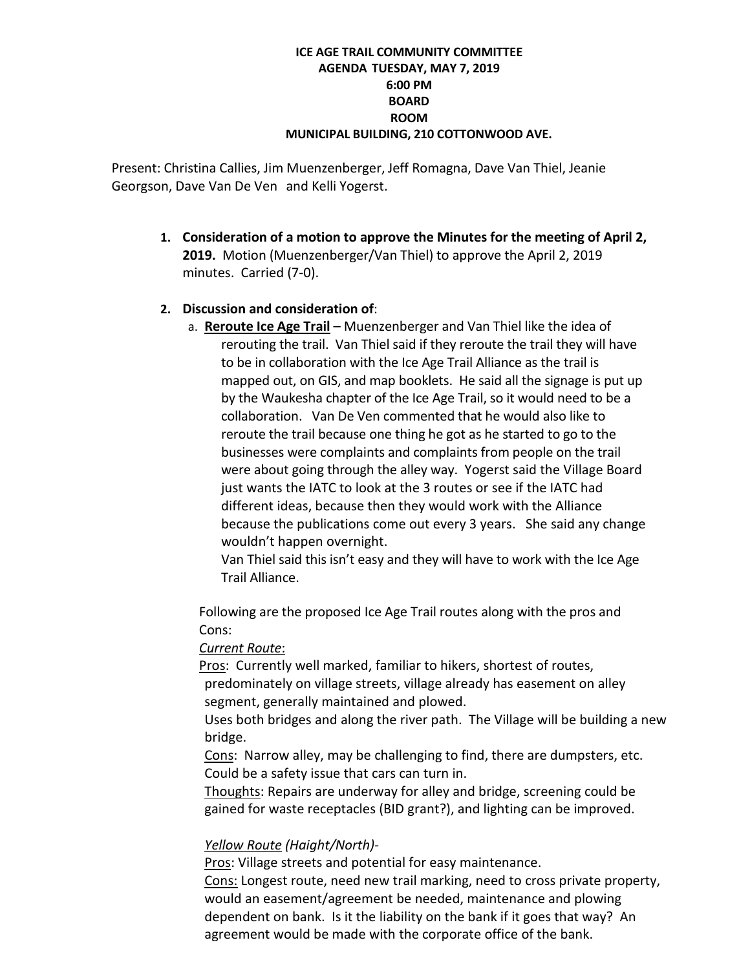### **ICE AGE TRAIL COMMUNITY COMMITTEE AGENDA TUESDAY, MAY 7, 2019 6:00 PM BOARD ROOM MUNICIPAL BUILDING, 210 COTTONWOOD AVE.**

Present: Christina Callies, Jim Muenzenberger, Jeff Romagna, Dave Van Thiel, Jeanie Georgson, Dave Van De Ven and Kelli Yogerst.

**1. Consideration of a motion to approve the Minutes for the meeting of April 2, 2019.** Motion (Muenzenberger/Van Thiel) to approve the April 2, 2019 minutes. Carried (7-0).

## **2. Discussion and consideration of**:

a. **Reroute Ice Age Trail** – Muenzenberger and Van Thiel like the idea of rerouting the trail. Van Thiel said if they reroute the trail they will have to be in collaboration with the Ice Age Trail Alliance as the trail is mapped out, on GIS, and map booklets. He said all the signage is put up by the Waukesha chapter of the Ice Age Trail, so it would need to be a collaboration. Van De Ven commented that he would also like to reroute the trail because one thing he got as he started to go to the businesses were complaints and complaints from people on the trail were about going through the alley way. Yogerst said the Village Board just wants the IATC to look at the 3 routes or see if the IATC had different ideas, because then they would work with the Alliance because the publications come out every 3 years. She said any change wouldn't happen overnight.

Van Thiel said this isn't easy and they will have to work with the Ice Age Trail Alliance.

Following are the proposed Ice Age Trail routes along with the pros and Cons:

### *Current Route*:

Pros: Currently well marked, familiar to hikers, shortest of routes, predominately on village streets, village already has easement on alley segment, generally maintained and plowed.

Uses both bridges and along the river path. The Village will be building a new bridge.

Cons: Narrow alley, may be challenging to find, there are dumpsters, etc. Could be a safety issue that cars can turn in.

Thoughts: Repairs are underway for alley and bridge, screening could be gained for waste receptacles (BID grant?), and lighting can be improved.

# *Yellow Route (Haight/North)-*

Pros: Village streets and potential for easy maintenance.

Cons: Longest route, need new trail marking, need to cross private property, would an easement/agreement be needed, maintenance and plowing dependent on bank. Is it the liability on the bank if it goes that way? An agreement would be made with the corporate office of the bank.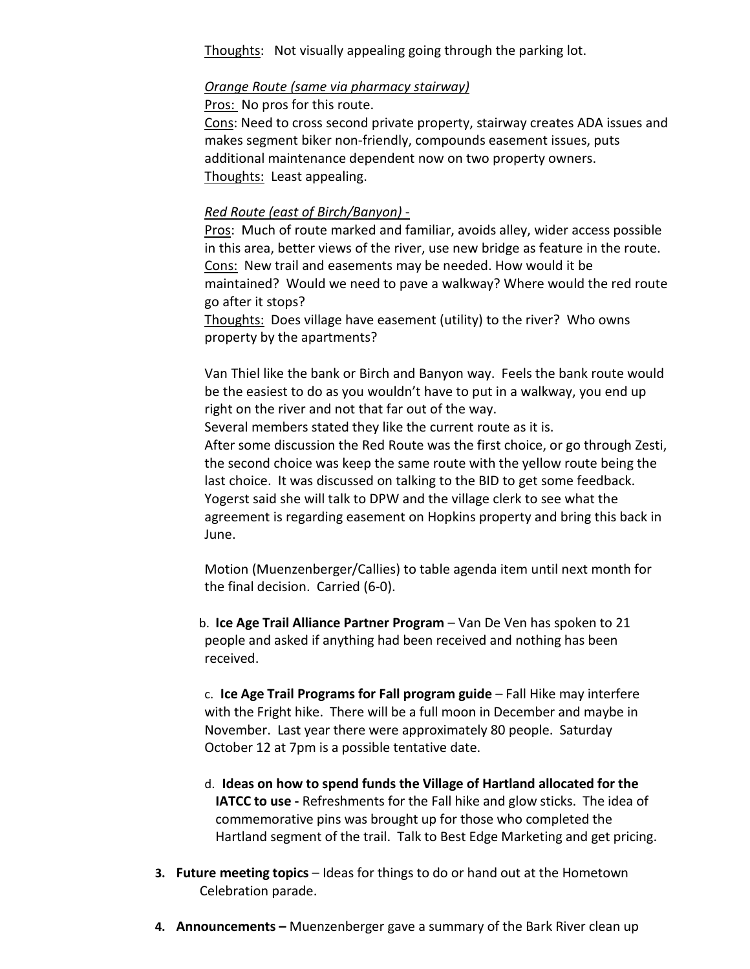Thoughts: Not visually appealing going through the parking lot.

### *Orange Route (same via pharmacy stairway)*

Pros: No pros for this route.

Cons: Need to cross second private property, stairway creates ADA issues and makes segment biker non-friendly, compounds easement issues, puts additional maintenance dependent now on two property owners. Thoughts: Least appealing.

### *Red Route (east of Birch/Banyon)* -

Pros: Much of route marked and familiar, avoids alley, wider access possible in this area, better views of the river, use new bridge as feature in the route. Cons: New trail and easements may be needed. How would it be maintained? Would we need to pave a walkway? Where would the red route go after it stops?

Thoughts: Does village have easement (utility) to the river? Who owns property by the apartments?

Van Thiel like the bank or Birch and Banyon way. Feels the bank route would be the easiest to do as you wouldn't have to put in a walkway, you end up right on the river and not that far out of the way.

Several members stated they like the current route as it is.

After some discussion the Red Route was the first choice, or go through Zesti, the second choice was keep the same route with the yellow route being the last choice. It was discussed on talking to the BID to get some feedback. Yogerst said she will talk to DPW and the village clerk to see what the agreement is regarding easement on Hopkins property and bring this back in June.

Motion (Muenzenberger/Callies) to table agenda item until next month for the final decision. Carried (6-0).

b. **Ice Age Trail Alliance Partner Program** – Van De Ven has spoken to 21 people and asked if anything had been received and nothing has been received.

c. **Ice Age Trail Programs for Fall program guide** – Fall Hike may interfere with the Fright hike. There will be a full moon in December and maybe in November. Last year there were approximately 80 people. Saturday October 12 at 7pm is a possible tentative date.

- d. **Ideas on how to spend funds the Village of Hartland allocated for the IATCC to use -** Refreshments for the Fall hike and glow sticks. The idea of commemorative pins was brought up for those who completed the Hartland segment of the trail. Talk to Best Edge Marketing and get pricing.
- **3. Future meeting topics** Ideas for things to do or hand out at the Hometown Celebration parade.
- **4. Announcements –** Muenzenberger gave a summary of the Bark River clean up